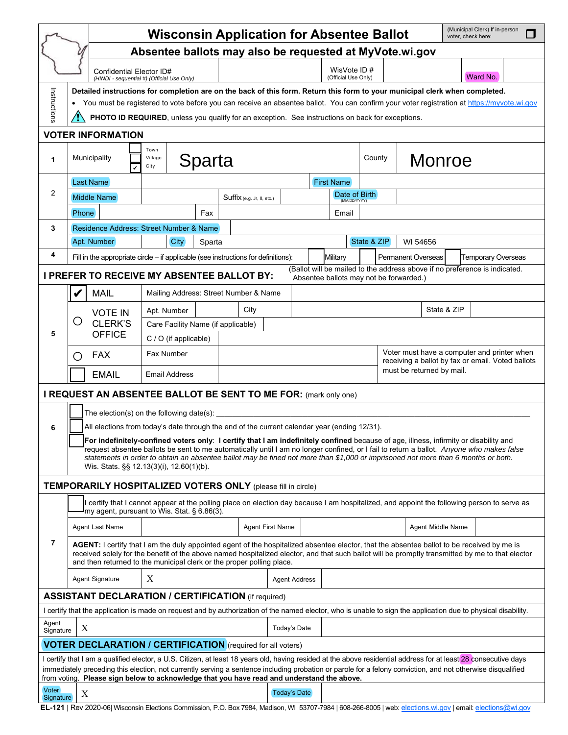|                                                                                                                                                                                                                                                                                                                                 |                                                                                                                                                                                                                                                                                                                                                                               |                                                                                                                                                                                                                                 |                            | <b>Wisconsin Application for Absentee Ballot</b> |                         |                               |          |                           |                                                                                                  |                   | voter, check here: | (Municipal Clerk) If in-person                                                                                                            |  |  |
|---------------------------------------------------------------------------------------------------------------------------------------------------------------------------------------------------------------------------------------------------------------------------------------------------------------------------------|-------------------------------------------------------------------------------------------------------------------------------------------------------------------------------------------------------------------------------------------------------------------------------------------------------------------------------------------------------------------------------|---------------------------------------------------------------------------------------------------------------------------------------------------------------------------------------------------------------------------------|----------------------------|--------------------------------------------------|-------------------------|-------------------------------|----------|---------------------------|--------------------------------------------------------------------------------------------------|-------------------|--------------------|-------------------------------------------------------------------------------------------------------------------------------------------|--|--|
| Absentee ballots may also be requested at MyVote.wi.gov                                                                                                                                                                                                                                                                         |                                                                                                                                                                                                                                                                                                                                                                               |                                                                                                                                                                                                                                 |                            |                                                  |                         |                               |          |                           |                                                                                                  |                   |                    |                                                                                                                                           |  |  |
|                                                                                                                                                                                                                                                                                                                                 | Confidential Elector ID#<br>(HINDI - sequential #) (Official Use Only)                                                                                                                                                                                                                                                                                                        | WisVote ID#<br>(Official Use Only)                                                                                                                                                                                              |                            |                                                  |                         |                               | Ward No. |                           |                                                                                                  |                   |                    |                                                                                                                                           |  |  |
|                                                                                                                                                                                                                                                                                                                                 | Detailed instructions for completion are on the back of this form. Return this form to your municipal clerk when completed.<br>You must be registered to vote before you can receive an absentee ballot. You can confirm your voter registration at https://myvote.wi.gov<br>PHOTO ID REQUIRED, unless you qualify for an exception. See instructions on back for exceptions. |                                                                                                                                                                                                                                 |                            |                                                  |                         |                               |          |                           |                                                                                                  |                   |                    |                                                                                                                                           |  |  |
| Instructions                                                                                                                                                                                                                                                                                                                    |                                                                                                                                                                                                                                                                                                                                                                               |                                                                                                                                                                                                                                 |                            |                                                  |                         |                               |          |                           |                                                                                                  |                   |                    |                                                                                                                                           |  |  |
|                                                                                                                                                                                                                                                                                                                                 |                                                                                                                                                                                                                                                                                                                                                                               |                                                                                                                                                                                                                                 |                            |                                                  |                         |                               |          |                           |                                                                                                  |                   |                    |                                                                                                                                           |  |  |
| <b>VOTER INFORMATION</b>                                                                                                                                                                                                                                                                                                        |                                                                                                                                                                                                                                                                                                                                                                               |                                                                                                                                                                                                                                 |                            |                                                  |                         |                               |          |                           |                                                                                                  |                   |                    |                                                                                                                                           |  |  |
| 1                                                                                                                                                                                                                                                                                                                               | Municipality<br>V                                                                                                                                                                                                                                                                                                                                                             | Town<br>Sparta<br>Village<br>City                                                                                                                                                                                               |                            |                                                  |                         |                               |          |                           |                                                                                                  | Monroe<br>County  |                    |                                                                                                                                           |  |  |
|                                                                                                                                                                                                                                                                                                                                 | Last Name                                                                                                                                                                                                                                                                                                                                                                     |                                                                                                                                                                                                                                 |                            |                                                  |                         | <b>First Name</b>             |          |                           |                                                                                                  |                   |                    |                                                                                                                                           |  |  |
| 2                                                                                                                                                                                                                                                                                                                               | <b>Middle Name</b>                                                                                                                                                                                                                                                                                                                                                            |                                                                                                                                                                                                                                 | Suffix (e.g. Jr, II, etc.) |                                                  |                         | Date of Birth<br>(MM/DD/YYYY) |          |                           |                                                                                                  |                   |                    |                                                                                                                                           |  |  |
|                                                                                                                                                                                                                                                                                                                                 | <b>Phone</b>                                                                                                                                                                                                                                                                                                                                                                  |                                                                                                                                                                                                                                 | Fax                        |                                                  |                         | Email                         |          |                           |                                                                                                  |                   |                    |                                                                                                                                           |  |  |
| 3                                                                                                                                                                                                                                                                                                                               | Residence Address: Street Number & Name                                                                                                                                                                                                                                                                                                                                       |                                                                                                                                                                                                                                 |                            |                                                  |                         |                               |          |                           |                                                                                                  |                   |                    |                                                                                                                                           |  |  |
|                                                                                                                                                                                                                                                                                                                                 | Apt. Number                                                                                                                                                                                                                                                                                                                                                                   | <b>City</b>                                                                                                                                                                                                                     | Sparta                     |                                                  |                         |                               |          |                           | State & ZIP                                                                                      | WI 54656          |                    |                                                                                                                                           |  |  |
| 4                                                                                                                                                                                                                                                                                                                               |                                                                                                                                                                                                                                                                                                                                                                               | Permanent Overseas<br>Fill in the appropriate circle – if applicable (see instructions for definitions):<br>Military<br><b>Temporary Overseas</b><br>(Ballot will be mailed to the address above if no preference is indicated. |                            |                                                  |                         |                               |          |                           |                                                                                                  |                   |                    |                                                                                                                                           |  |  |
|                                                                                                                                                                                                                                                                                                                                 | I PREFER TO RECEIVE MY ABSENTEE BALLOT BY:                                                                                                                                                                                                                                                                                                                                    |                                                                                                                                                                                                                                 |                            |                                                  |                         |                               |          |                           | Absentee ballots may not be forwarded.)                                                          |                   |                    |                                                                                                                                           |  |  |
|                                                                                                                                                                                                                                                                                                                                 | <b>MAIL</b><br>V                                                                                                                                                                                                                                                                                                                                                              |                                                                                                                                                                                                                                 |                            | Mailing Address: Street Number & Name            |                         |                               |          |                           |                                                                                                  |                   |                    |                                                                                                                                           |  |  |
|                                                                                                                                                                                                                                                                                                                                 | <b>VOTE IN</b>                                                                                                                                                                                                                                                                                                                                                                | Apt. Number                                                                                                                                                                                                                     | City                       |                                                  |                         |                               |          | State & ZIP               |                                                                                                  |                   |                    |                                                                                                                                           |  |  |
| 5                                                                                                                                                                                                                                                                                                                               | O<br>CLERK'S<br><b>OFFICE</b>                                                                                                                                                                                                                                                                                                                                                 | Care Facility Name (if applicable)                                                                                                                                                                                              |                            |                                                  |                         |                               |          |                           |                                                                                                  |                   |                    |                                                                                                                                           |  |  |
|                                                                                                                                                                                                                                                                                                                                 |                                                                                                                                                                                                                                                                                                                                                                               | C / O (if applicable)                                                                                                                                                                                                           |                            |                                                  |                         |                               |          |                           |                                                                                                  |                   |                    |                                                                                                                                           |  |  |
|                                                                                                                                                                                                                                                                                                                                 | <b>FAX</b><br>( )                                                                                                                                                                                                                                                                                                                                                             | <b>Fax Number</b>                                                                                                                                                                                                               |                            |                                                  |                         |                               |          |                           | Voter must have a computer and printer when<br>receiving a ballot by fax or email. Voted ballots |                   |                    |                                                                                                                                           |  |  |
|                                                                                                                                                                                                                                                                                                                                 | <b>EMAIL</b>                                                                                                                                                                                                                                                                                                                                                                  | <b>Email Address</b>                                                                                                                                                                                                            |                            |                                                  |                         |                               |          | must be returned by mail. |                                                                                                  |                   |                    |                                                                                                                                           |  |  |
|                                                                                                                                                                                                                                                                                                                                 | I REQUEST AN ABSENTEE BALLOT BE SENT TO ME FOR: (mark only one)                                                                                                                                                                                                                                                                                                               |                                                                                                                                                                                                                                 |                            |                                                  |                         |                               |          |                           |                                                                                                  |                   |                    |                                                                                                                                           |  |  |
|                                                                                                                                                                                                                                                                                                                                 | The election(s) on the following date(s):                                                                                                                                                                                                                                                                                                                                     |                                                                                                                                                                                                                                 |                            |                                                  |                         |                               |          |                           |                                                                                                  |                   |                    |                                                                                                                                           |  |  |
| 6                                                                                                                                                                                                                                                                                                                               | All elections from today's date through the end of the current calendar year (ending 12/31).                                                                                                                                                                                                                                                                                  |                                                                                                                                                                                                                                 |                            |                                                  |                         |                               |          |                           |                                                                                                  |                   |                    |                                                                                                                                           |  |  |
|                                                                                                                                                                                                                                                                                                                                 | For indefinitely-confined voters only: I certify that I am indefinitely confined because of age, illness, infirmity or disability and                                                                                                                                                                                                                                         |                                                                                                                                                                                                                                 |                            |                                                  |                         |                               |          |                           |                                                                                                  |                   |                    |                                                                                                                                           |  |  |
|                                                                                                                                                                                                                                                                                                                                 | request absentee ballots be sent to me automatically until I am no longer confined, or I fail to return a ballot. Anyone who makes false                                                                                                                                                                                                                                      |                                                                                                                                                                                                                                 |                            |                                                  |                         |                               |          |                           |                                                                                                  |                   |                    |                                                                                                                                           |  |  |
|                                                                                                                                                                                                                                                                                                                                 |                                                                                                                                                                                                                                                                                                                                                                               | statements in order to obtain an absentee ballot may be fined not more than \$1,000 or imprisoned not more than 6 months or both.<br>Wis. Stats. §§ 12.13(3)(i), 12.60(1)(b).                                                   |                            |                                                  |                         |                               |          |                           |                                                                                                  |                   |                    |                                                                                                                                           |  |  |
|                                                                                                                                                                                                                                                                                                                                 | <b>TEMPORARILY HOSPITALIZED VOTERS ONLY (please fill in circle)</b>                                                                                                                                                                                                                                                                                                           |                                                                                                                                                                                                                                 |                            |                                                  |                         |                               |          |                           |                                                                                                  |                   |                    |                                                                                                                                           |  |  |
|                                                                                                                                                                                                                                                                                                                                 | my agent, pursuant to Wis. Stat. § 6.86(3).                                                                                                                                                                                                                                                                                                                                   |                                                                                                                                                                                                                                 |                            |                                                  |                         |                               |          |                           |                                                                                                  |                   |                    | certify that I cannot appear at the polling place on election day because I am hospitalized, and appoint the following person to serve as |  |  |
|                                                                                                                                                                                                                                                                                                                                 | Agent Last Name                                                                                                                                                                                                                                                                                                                                                               |                                                                                                                                                                                                                                 |                            |                                                  | <b>Agent First Name</b> |                               |          |                           |                                                                                                  | Agent Middle Name |                    |                                                                                                                                           |  |  |
| $\overline{7}$                                                                                                                                                                                                                                                                                                                  | AGENT: I certify that I am the duly appointed agent of the hospitalized absentee elector, that the absentee ballot to be received by me is<br>received solely for the benefit of the above named hospitalized elector, and that such ballot will be promptly transmitted by me to that elector<br>and then returned to the municipal clerk or the proper polling place.       |                                                                                                                                                                                                                                 |                            |                                                  |                         |                               |          |                           |                                                                                                  |                   |                    |                                                                                                                                           |  |  |
|                                                                                                                                                                                                                                                                                                                                 | <b>Agent Signature</b>                                                                                                                                                                                                                                                                                                                                                        | X                                                                                                                                                                                                                               |                            | <b>Agent Address</b>                             |                         |                               |          |                           |                                                                                                  |                   |                    |                                                                                                                                           |  |  |
| <b>ASSISTANT DECLARATION / CERTIFICATION (if required)</b>                                                                                                                                                                                                                                                                      |                                                                                                                                                                                                                                                                                                                                                                               |                                                                                                                                                                                                                                 |                            |                                                  |                         |                               |          |                           |                                                                                                  |                   |                    |                                                                                                                                           |  |  |
| I certify that the application is made on request and by authorization of the named elector, who is unable to sign the application due to physical disability.                                                                                                                                                                  |                                                                                                                                                                                                                                                                                                                                                                               |                                                                                                                                                                                                                                 |                            |                                                  |                         |                               |          |                           |                                                                                                  |                   |                    |                                                                                                                                           |  |  |
| Agent<br>Signature                                                                                                                                                                                                                                                                                                              | X                                                                                                                                                                                                                                                                                                                                                                             |                                                                                                                                                                                                                                 |                            |                                                  | Today's Date            |                               |          |                           |                                                                                                  |                   |                    |                                                                                                                                           |  |  |
|                                                                                                                                                                                                                                                                                                                                 | <b>VOTER DECLARATION / CERTIFICATION</b> (required for all voters)                                                                                                                                                                                                                                                                                                            |                                                                                                                                                                                                                                 |                            |                                                  |                         |                               |          |                           |                                                                                                  |                   |                    |                                                                                                                                           |  |  |
| I certify that I am a qualified elector, a U.S. Citizen, at least 18 years old, having resided at the above residential address for at least 28 consecutive days<br>immediately preceding this election, not currently serving a sentence including probation or parole for a felony conviction, and not otherwise disqualified |                                                                                                                                                                                                                                                                                                                                                                               |                                                                                                                                                                                                                                 |                            |                                                  |                         |                               |          |                           |                                                                                                  |                   |                    |                                                                                                                                           |  |  |
| Voter                                                                                                                                                                                                                                                                                                                           | from voting. Please sign below to acknowledge that you have read and understand the above.                                                                                                                                                                                                                                                                                    |                                                                                                                                                                                                                                 |                            |                                                  |                         |                               |          |                           |                                                                                                  |                   |                    |                                                                                                                                           |  |  |
| Signature                                                                                                                                                                                                                                                                                                                       | X                                                                                                                                                                                                                                                                                                                                                                             |                                                                                                                                                                                                                                 |                            |                                                  | <b>Today's Date</b>     |                               |          |                           |                                                                                                  |                   |                    |                                                                                                                                           |  |  |

**EL-121** | Rev 2020-06| Wisconsin Elections Commission, P.O. Box 7984, Madison, WI 53707-7984 | 608-266-8005 | web: elections.wi.gov | email: elections@wi.gov